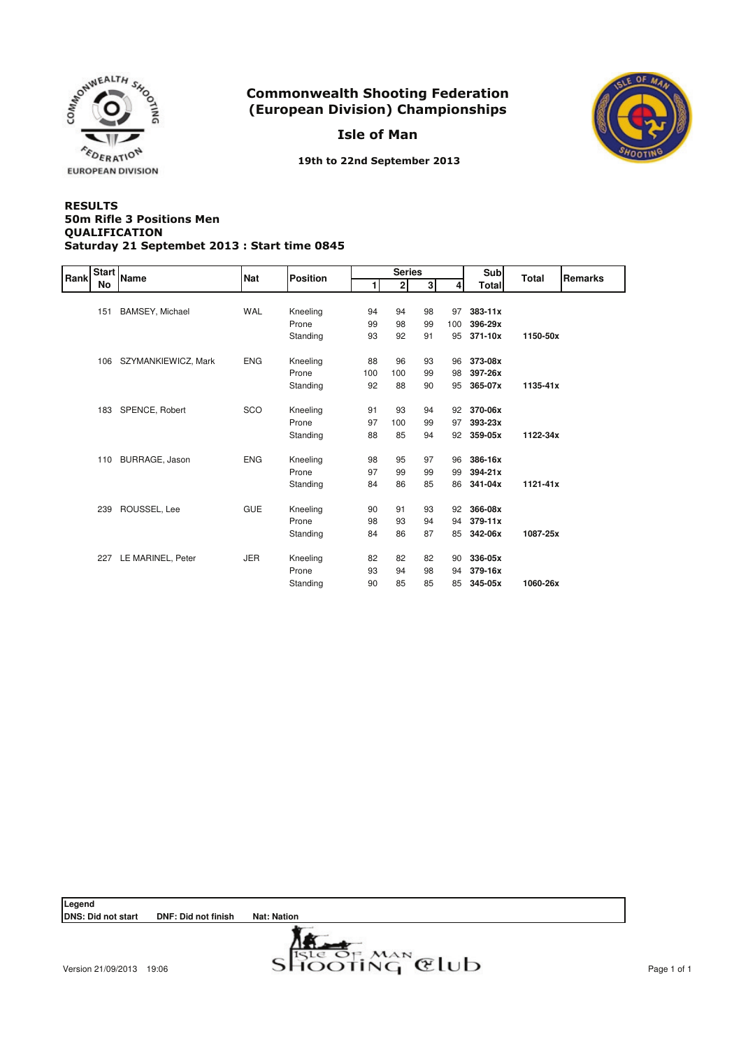

Isle of Man



19th to 22nd September 2013

#### **RESULTS** QUALIFICATION Saturday 21 Septembet 2013 : Start time 0845 50m Rifle 3 Positions Men

| Rank | <b>Start</b> | <b>Name</b>            | <b>Nat</b> | <b>Position</b> |     | <b>Series</b>  |    |     | <b>Sub</b>  | Total    | <b>Remarks</b> |
|------|--------------|------------------------|------------|-----------------|-----|----------------|----|-----|-------------|----------|----------------|
|      | No           |                        |            |                 |     | $\overline{2}$ | зI |     | Total       |          |                |
|      |              |                        |            |                 |     |                |    |     |             |          |                |
|      | 151          | <b>BAMSEY, Michael</b> | WAL        | Kneeling        | 94  | 94             | 98 | 97  | $383 - 11x$ |          |                |
|      |              |                        |            | Prone           | 99  | 98             | 99 | 100 | 396-29x     |          |                |
|      |              |                        |            | Standing        | 93  | 92             | 91 | 95  | 371-10x     | 1150-50x |                |
|      | 106          | SZYMANKIEWICZ, Mark    | <b>ENG</b> | Kneeling        | 88  | 96             | 93 | 96  | 373-08x     |          |                |
|      |              |                        |            | Prone           | 100 | 100            | 99 | 98  | 397-26x     |          |                |
|      |              |                        |            |                 | 92  | 88             | 90 | 95  | 365-07x     | 1135-41x |                |
|      |              |                        |            | Standing        |     |                |    |     |             |          |                |
|      |              | 183 SPENCE, Robert     | <b>SCO</b> | Kneeling        | 91  | 93             | 94 | 92  | 370-06x     |          |                |
|      |              |                        |            | Prone           | 97  | 100            | 99 | 97  | $393 - 23x$ |          |                |
|      |              |                        |            | Standing        | 88  | 85             | 94 | 92  | 359-05x     | 1122-34x |                |
|      | 110          | BURRAGE, Jason         | <b>ENG</b> | Kneeling        | 98  | 95             | 97 | 96  | 386-16x     |          |                |
|      |              |                        |            | Prone           | 97  | 99             | 99 | 99  | 394-21x     |          |                |
|      |              |                        |            | Standing        | 84  | 86             | 85 | 86  | 341-04x     | 1121-41x |                |
|      |              |                        |            |                 |     |                |    |     |             |          |                |
|      | 239          | ROUSSEL, Lee           | <b>GUE</b> | Kneeling        | 90  | 91             | 93 | 92  | 366-08x     |          |                |
|      |              |                        |            | Prone           | 98  | 93             | 94 | 94  | $379 - 11x$ |          |                |
|      |              |                        |            | Standing        | 84  | 86             | 87 | 85  | 342-06x     | 1087-25x |                |
|      | 227          | LE MARINEL, Peter      | <b>JER</b> | Kneeling        | 82  | 82             | 82 | 90  | 336-05x     |          |                |
|      |              |                        |            | Prone           | 93  | 94             | 98 | 94  | 379-16x     |          |                |
|      |              |                        |            |                 |     | 85             | 85 |     |             | 1060-26x |                |
|      |              |                        |            | Standing        | 90  |                |    | 85  | 345-05x     |          |                |

Legend<br>DNS: Did not start **DNF: Did not finish Nat: Nation** 

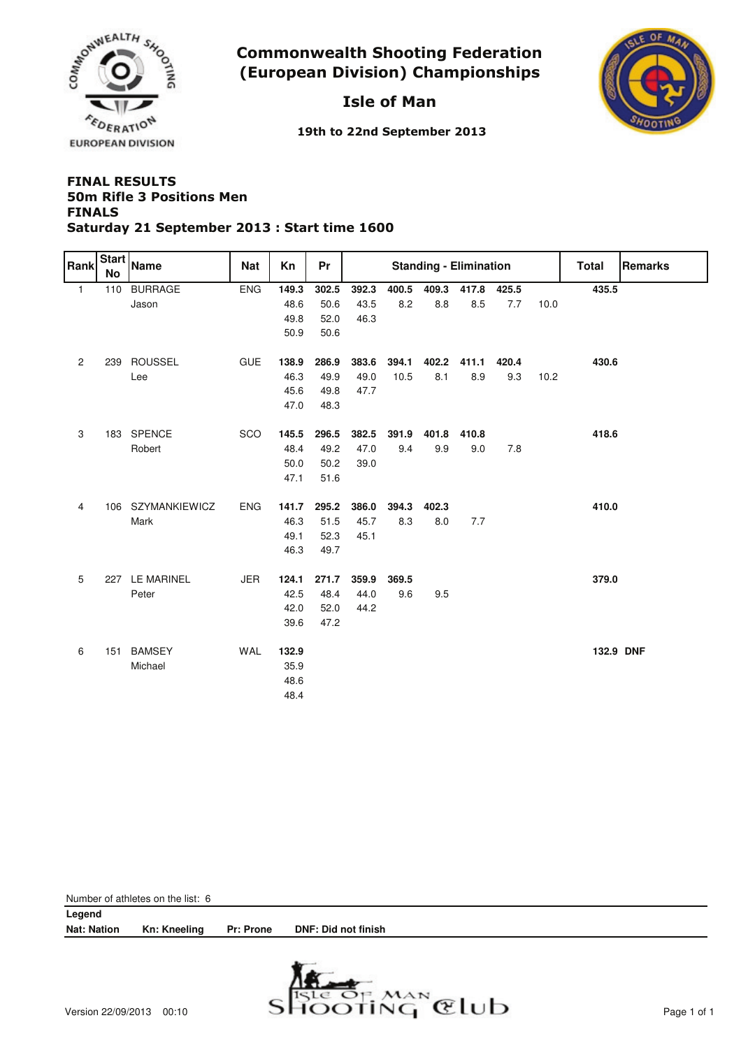

# Isle of Man



19th to 22nd September 2013

### **FINAL RESULTS FINALS** Saturday 21 September 2013 : Start time 1600 50m Rifle 3 Positions Men

| Rank           | <b>Start</b><br><b>No</b> | <b>Name</b>       | Nat        | Kn    | <b>Pr</b> | <b>Standing - Elimination</b> |       |       |       |       |      | Total     | Remarks |
|----------------|---------------------------|-------------------|------------|-------|-----------|-------------------------------|-------|-------|-------|-------|------|-----------|---------|
| $\mathbf{1}$   | 110                       | <b>BURRAGE</b>    | <b>ENG</b> | 149.3 | 302.5     | 392.3                         | 400.5 | 409.3 | 417.8 | 425.5 |      | 435.5     |         |
|                |                           | Jason             |            | 48.6  | 50.6      | 43.5                          | 8.2   | 8.8   | 8.5   | 7.7   | 10.0 |           |         |
|                |                           |                   |            | 49.8  | 52.0      | 46.3                          |       |       |       |       |      |           |         |
|                |                           |                   |            | 50.9  | 50.6      |                               |       |       |       |       |      |           |         |
| $\overline{c}$ |                           | 239 ROUSSEL       | <b>GUE</b> | 138.9 | 286.9     | 383.6                         | 394.1 | 402.2 | 411.1 | 420.4 |      | 430.6     |         |
|                |                           | Lee               |            | 46.3  | 49.9      | 49.0                          | 10.5  | 8.1   | 8.9   | 9.3   | 10.2 |           |         |
|                |                           |                   |            | 45.6  | 49.8      | 47.7                          |       |       |       |       |      |           |         |
|                |                           |                   |            | 47.0  | 48.3      |                               |       |       |       |       |      |           |         |
| 3              |                           | 183 SPENCE        | SCO        | 145.5 | 296.5     | 382.5                         | 391.9 | 401.8 | 410.8 |       |      | 418.6     |         |
|                |                           | Robert            |            | 48.4  | 49.2      | 47.0                          | 9.4   | 9.9   | 9.0   | 7.8   |      |           |         |
|                |                           |                   |            | 50.0  | 50.2      | 39.0                          |       |       |       |       |      |           |         |
|                |                           |                   |            | 47.1  | 51.6      |                               |       |       |       |       |      |           |         |
| 4              |                           | 106 SZYMANKIEWICZ | <b>ENG</b> | 141.7 | 295.2     | 386.0                         | 394.3 | 402.3 |       |       |      | 410.0     |         |
|                |                           | Mark              |            | 46.3  | 51.5      | 45.7                          | 8.3   | 8.0   | 7.7   |       |      |           |         |
|                |                           |                   |            | 49.1  | 52.3      | 45.1                          |       |       |       |       |      |           |         |
|                |                           |                   |            | 46.3  | 49.7      |                               |       |       |       |       |      |           |         |
| 5              |                           | 227 LE MARINEL    | <b>JER</b> | 124.1 | 271.7     | 359.9                         | 369.5 |       |       |       |      | 379.0     |         |
|                |                           | Peter             |            | 42.5  | 48.4      | 44.0                          | 9.6   | 9.5   |       |       |      |           |         |
|                |                           |                   |            | 42.0  | 52.0      | 44.2                          |       |       |       |       |      |           |         |
|                |                           |                   |            | 39.6  | 47.2      |                               |       |       |       |       |      |           |         |
| 6              | 151                       | <b>BAMSEY</b>     | <b>WAL</b> | 132.9 |           |                               |       |       |       |       |      | 132.9 DNF |         |
|                |                           | Michael           |            | 35.9  |           |                               |       |       |       |       |      |           |         |
|                |                           |                   |            | 48.6  |           |                               |       |       |       |       |      |           |         |
|                |                           |                   |            | 48.4  |           |                               |       |       |       |       |      |           |         |

| Number of athletes on the list: 6 |              |                  |                                         |  |  |  |  |  |  |  |
|-----------------------------------|--------------|------------------|-----------------------------------------|--|--|--|--|--|--|--|
| Legend                            |              |                  |                                         |  |  |  |  |  |  |  |
| <b>Nat: Nation</b>                | Kn: Kneeling | <b>Pr: Prone</b> | DNF: Did not finish                     |  |  |  |  |  |  |  |
|                                   |              |                  |                                         |  |  |  |  |  |  |  |
|                                   |              |                  | the property of the control of the con- |  |  |  |  |  |  |  |

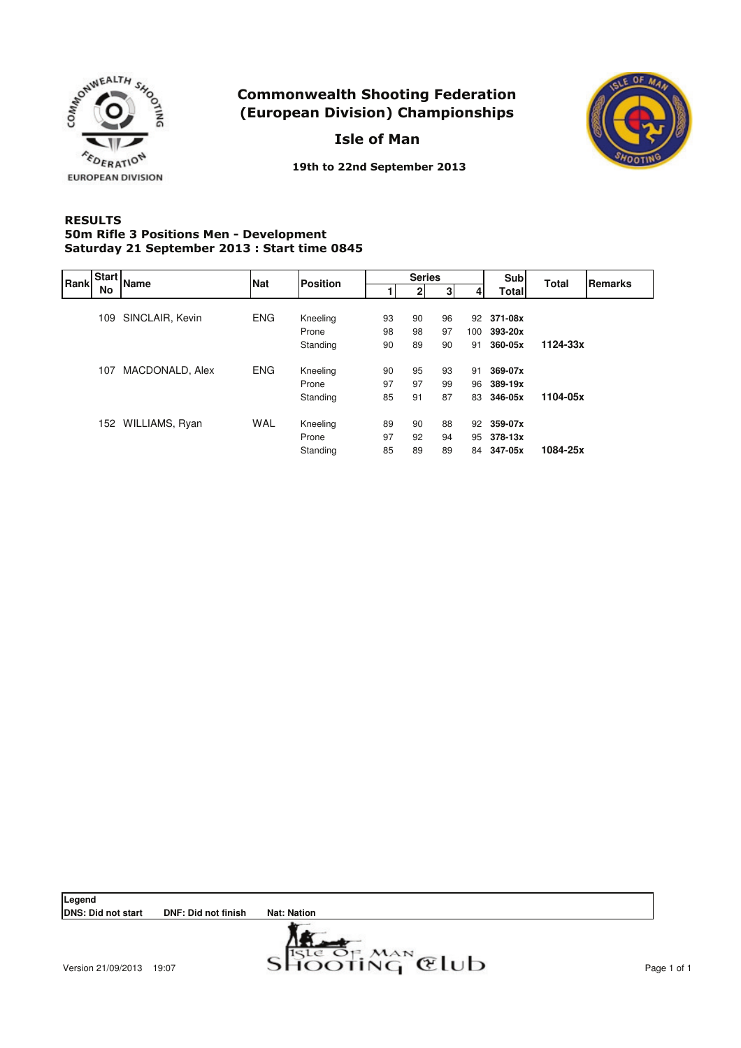

Isle of Man



19th to 22nd September 2013

### **RESULTS** 50m Rifle 3 Positions Men - Development Saturday 21 September 2013 : Start time 0845

| Rank |     | Start Name         | <b>Nat</b> | <b>Position</b> |    |    | <b>Series</b> |     | <b>Sub</b>   | <b>Total</b> | Remarks |
|------|-----|--------------------|------------|-----------------|----|----|---------------|-----|--------------|--------------|---------|
|      | No  |                    |            |                 |    | 2  | 3             |     | <b>Total</b> |              |         |
|      |     |                    |            |                 |    |    |               |     |              |              |         |
|      | 109 | SINCLAIR, Kevin    | <b>ENG</b> | Kneeling        | 93 | 90 | 96            | 92  | 371-08x      |              |         |
|      |     |                    |            | Prone           | 98 | 98 | 97            | 100 | 393-20x      |              |         |
|      |     |                    |            | Standing        | 90 | 89 | 90            | 91  | 360-05x      | 1124-33x     |         |
|      | 107 | MACDONALD, Alex    | <b>ENG</b> | Kneeling        | 90 | 95 | 93            | 91  | 369-07x      |              |         |
|      |     |                    |            | Prone           | 97 | 97 | 99            | 96  | 389-19x      |              |         |
|      |     |                    |            | Standing        | 85 | 91 | 87            |     | 83 346-05x   | 1104-05x     |         |
|      |     | 152 WILLIAMS, Ryan | <b>WAL</b> | Kneeling        | 89 | 90 | 88            | 92  | 359-07x      |              |         |
|      |     |                    |            | Prone           | 97 | 92 | 94            |     | 95 378-13x   |              |         |
|      |     |                    |            | Standing        | 85 | 89 | 89            |     | 84 347-05x   | 1084-25x     |         |